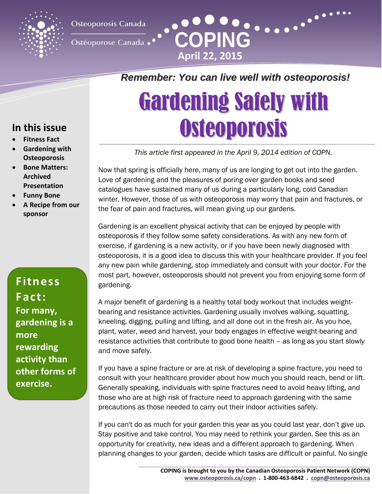

Osteoporosis Canada

Ostéoporose Canada •

## **Remember: You can live well with osteoporosis!**

**April 22, 2015**

**COPING**

# Gardening Safely with **Osteoporosis**

*This article first appeared in the April 9, 2014 edition of COPN.*

Now that spring is officially here, many of us are longing to get out into the garden. Love of gardening and the pleasures of poring over garden books and seed catalogues have sustained many of us during a particularly long, cold Canadian winter. However, those of us with osteoporosis may worry that pain and fractures, or the fear of pain and fractures, will mean giving up our gardens.

Gardening is an excellent physical activity that can be enjoyed by people with osteoporosis if they follow some safety considerations. As with any new form of exercise, if gardening is a new activity, or if you have been newly diagnosed with osteoporosis, it is a good idea to discuss this with your healthcare provider. If you feel any new pain while gardening, stop immediately and consult with your doctor. For the most part, however, osteoporosis should not prevent you from enjoying some form of gardening.

A major benefit of gardening is a healthy total body workout that includes weightbearing and resistance activities. Gardening usually involves walking, squatting, kneeling, digging, pulling and lifting, and all done out in the fresh air. As you hoe, plant, water, weed and harvest, your body engages in effective weight-bearing and resistance activities that contribute to good bone health – as long as you start slowly and move safely.

If you have a spine fracture or are at risk of developing a spine fracture, you need to consult with your healthcare provider about how much you should reach, bend or lift. Generally speaking, individuals with spine fractures need to avoid heavy lifting, and those who are at high risk of fracture need to approach gardening with the same precautions as those needed to carry out their indoor activities safely.

If you can't do as much for your garden this year as you could last year, don't give up. Stay positive and take control. You may need to rethink your garden. See this as an opportunity for creativity, new ideas and a different approach to gardening. When planning changes to your garden, decide which tasks are difficult or painful. No single

### **In this issue**

- **Fitness Fact**
- **Gardening with Osteoporosis**
- **Bone Matters: Archived Presentation**
- **Funny Bone**
- **A Recipe from our sponsor**

**Fitness Fact: For many, gardening is a more rewarding activity than other forms of exercise.**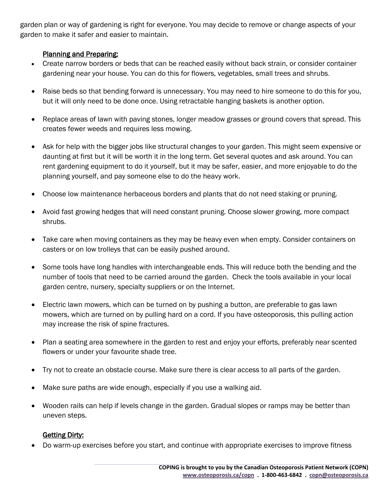garden plan or way of gardening is right for everyone. You may decide to remove or change aspects of your garden to make it safer and easier to maintain.

#### Planning and Preparing:

- Create narrow borders or beds that can be reached easily without back strain, or consider container gardening near your house. You can do this for flowers, vegetables, small trees and shrubs.
- Raise beds so that bending forward is unnecessary. You may need to hire someone to do this for you, but it will only need to be done once. Using retractable hanging baskets is another option.
- Replace areas of lawn with paving stones, longer meadow grasses or ground covers that spread. This creates fewer weeds and requires less mowing.
- Ask for help with the bigger jobs like structural changes to your garden. This might seem expensive or daunting at first but it will be worth it in the long term. Get several quotes and ask around. You can rent gardening equipment to do it yourself, but it may be safer, easier, and more enjoyable to do the planning yourself, and pay someone else to do the heavy work.
- Choose low maintenance herbaceous borders and plants that do not need staking or pruning.
- Avoid fast growing hedges that will need constant pruning. Choose slower growing, more compact shrubs.
- Take care when moving containers as they may be heavy even when empty. Consider containers on casters or on low trolleys that can be easily pushed around.
- Some tools have long handles with interchangeable ends. This will reduce both the bending and the number of tools that need to be carried around the garden. Check the tools available in your local garden centre, nursery, specialty suppliers or on the Internet.
- Electric lawn mowers, which can be turned on by pushing a button, are preferable to gas lawn mowers, which are turned on by pulling hard on a cord. If you have osteoporosis, this pulling action may increase the risk of spine fractures.
- Plan a seating area somewhere in the garden to rest and enjoy your efforts, preferably near scented flowers or under your favourite shade tree.
- Try not to create an obstacle course. Make sure there is clear access to all parts of the garden.
- Make sure paths are wide enough, especially if you use a walking aid.
- Wooden rails can help if levels change in the garden. Gradual slopes or ramps may be better than uneven steps.

### **Getting Dirty:**

Do warm-up exercises before you start, and continue with appropriate exercises to improve fitness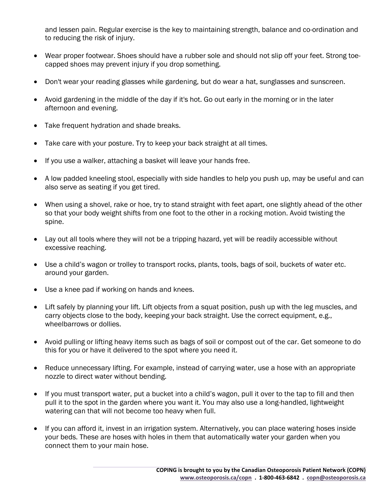and lessen pain. Regular exercise is the key to maintaining strength, balance and co-ordination and to reducing the risk of injury.

- Wear proper footwear. Shoes should have a rubber sole and should not slip off your feet. Strong toecapped shoes may prevent injury if you drop something.
- Don't wear your reading glasses while gardening, but do wear a hat, sunglasses and sunscreen.
- Avoid gardening in the middle of the day if it's hot. Go out early in the morning or in the later afternoon and evening.
- Take frequent hydration and shade breaks.
- Take care with your posture. Try to keep your back straight at all times.
- If you use a walker, attaching a basket will leave your hands free.
- A low padded kneeling stool, especially with side handles to help you push up, may be useful and can also serve as seating if you get tired.
- When using a shovel, rake or hoe, try to stand straight with feet apart, one slightly ahead of the other so that your body weight shifts from one foot to the other in a rocking motion. Avoid twisting the spine.
- Lay out all tools where they will not be a tripping hazard, yet will be readily accessible without excessive reaching.
- Use a child's wagon or trolley to transport rocks, plants, tools, bags of soil, buckets of water etc. around your garden.
- Use a knee pad if working on hands and knees.
- Lift safely by planning your lift. Lift objects from a squat position, push up with the leg muscles, and carry objects close to the body, keeping your back straight. Use the correct equipment, e.g., wheelbarrows or dollies.
- Avoid pulling or lifting heavy items such as bags of soil or compost out of the car. Get someone to do this for you or have it delivered to the spot where you need it.
- Reduce unnecessary lifting. For example, instead of carrying water, use a hose with an appropriate nozzle to direct water without bending.
- If you must transport water, put a bucket into a child's wagon, pull it over to the tap to fill and then pull it to the spot in the garden where you want it. You may also use a long-handled, lightweight watering can that will not become too heavy when full.
- If you can afford it, invest in an irrigation system. Alternatively, you can place watering hoses inside your beds. These are hoses with holes in them that automatically water your garden when you connect them to your main hose.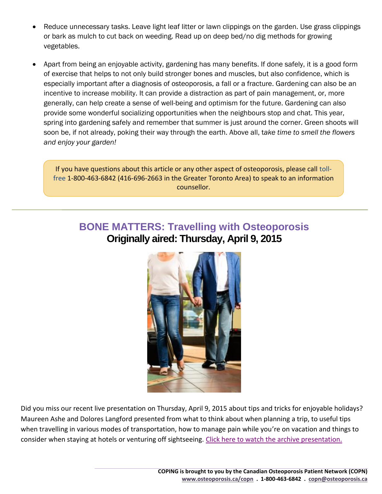- Reduce unnecessary tasks. Leave light leaf litter or lawn clippings on the garden. Use grass clippings or bark as mulch to cut back on weeding. Read up on deep bed/no dig methods for growing vegetables.
- Apart from being an enjoyable activity, gardening has many benefits. If done safely, it is a good form of exercise that helps to not only build stronger bones and muscles, but also confidence, which is especially important after a diagnosis of osteoporosis, a fall or a fracture. Gardening can also be an incentive to increase mobility. It can provide a distraction as part of pain management, or, more generally, can help create a sense of well-being and optimism for the future. Gardening can also provide some wonderful socializing opportunities when the neighbours stop and chat. This year, spring into gardening safely and remember that summer is just around the corner. Green shoots will soon be, if not already, poking their way through the earth. Above all, t*ake time to smell the flowers and enjoy your garden!*

If you have questions about this article or any other aspect of osteoporosis, please call tollfree 1-800-463-6842 (416-696-2663 in the Greater Toronto Area) to speak to an information counsellor.

### **BONE MATTERS: Travelling with Osteoporosis Originally aired: Thursday, April 9, 2015**



Did you miss our recent live presentation on Thursday, April 9, 2015 about tips and tricks for enjoyable holidays? Maureen Ashe and Dolores Langford presented from what to think about when planning a trip, to useful tips when travelling in various modes of transportation, how to manage pain while you're on vacation and things to consider when staying at hotels or venturing off sightseeing. [Click here to watch the archive presentation.](http://www.osteoporosis.ca/osteoporosis-and-you/copn/virtual-forum/archived-virtual-educational-forums/travelling-with-osteoporosis-thursday-april-9-2015-200-pm-edt/)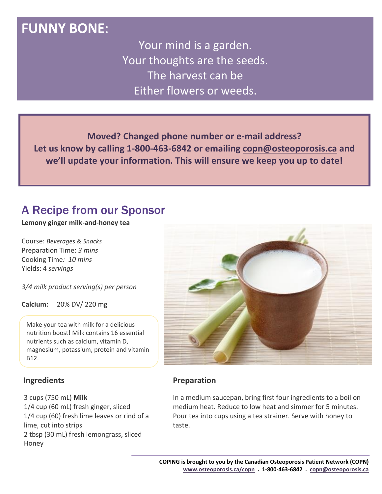### **FUNNY BONE**:

Your mind is a garden. Your thoughts are the seeds. The harvest can be Either flowers or weeds.

**Moved? Changed phone number or e-mail address? Let us know by calling 1-800-463-6842 or emailing [copn@osteoporosis.ca](mailto:copn@osteoporosis.ca) and we'll update your information. This will ensure we keep you up to date!**

### A Recipe from our Sponsor

#### **Lemony ginger milk-and-honey tea**

Course: *Beverages & Snacks* Preparation Time: *3 mins* Cooking Time*: 10 mins* Yields: 4 *servings*

*3/4 milk product serving(s) per person*

**Calcium:** 20% DV/ 220 mg

Make your tea with milk for a delicious nutrition boost! Milk contains 16 essential nutrients such as calcium, vitamin D, magnesium, potassium, protein and vitamin B12.

### **Ingredients**

3 cups (750 mL) **Milk**

1/4 cup (60 mL) fresh ginger, sliced 1/4 cup (60) fresh lime leaves or rind of a lime, cut into strips 2 tbsp (30 mL) fresh lemongrass, sliced Honey



### **Preparation**

In a medium saucepan, bring first four ingredients to a boil on medium heat. Reduce to low heat and simmer for 5 minutes. Pour tea into cups using a tea strainer. Serve with honey to taste.